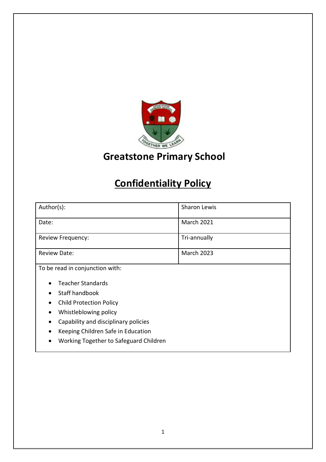

# **Greatstone Primary School**

# **Confidentiality Policy**

| Author(s):                                  | Sharon Lewis      |
|---------------------------------------------|-------------------|
| Date:                                       | March 2021        |
| Review Frequency:                           | Tri-annually      |
| <b>Review Date:</b>                         | <b>March 2023</b> |
| To be read in conjunction with:             |                   |
| <b>Teacher Standards</b>                    |                   |
| Staff handbook                              |                   |
| <b>Child Protection Policy</b><br>$\bullet$ |                   |
| Whistleblowing policy<br>$\bullet$          |                   |
| Capability and disciplinary policies        |                   |
| Keeping Children Safe in Education          |                   |
| Working Together to Safeguard Children      |                   |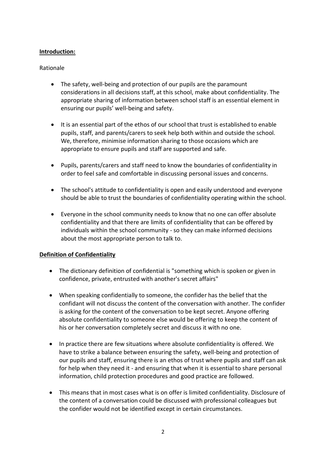# **Introduction:**

#### Rationale

- The safety, well-being and protection of our pupils are the paramount considerations in all decisions staff, at this school, make about confidentiality. The appropriate sharing of information between school staff is an essential element in ensuring our pupils' well-being and safety.
- It is an essential part of the ethos of our school that trust is established to enable pupils, staff, and parents/carers to seek help both within and outside the school. We, therefore, minimise information sharing to those occasions which are appropriate to ensure pupils and staff are supported and safe.
- Pupils, parents/carers and staff need to know the boundaries of confidentiality in order to feel safe and comfortable in discussing personal issues and concerns.
- The school's attitude to confidentiality is open and easily understood and everyone should be able to trust the boundaries of confidentiality operating within the school.
- Everyone in the school community needs to know that no one can offer absolute confidentiality and that there are limits of confidentiality that can be offered by individuals within the school community - so they can make informed decisions about the most appropriate person to talk to.

#### **Definition of Confidentiality**

- The dictionary definition of confidential is "something which is spoken or given in confidence, private, entrusted with another's secret affairs"
- When speaking confidentially to someone, the confider has the belief that the confidant will not discuss the content of the conversation with another. The confider is asking for the content of the conversation to be kept secret. Anyone offering absolute confidentiality to someone else would be offering to keep the content of his or her conversation completely secret and discuss it with no one.
- In practice there are few situations where absolute confidentiality is offered. We have to strike a balance between ensuring the safety, well-being and protection of our pupils and staff, ensuring there is an ethos of trust where pupils and staff can ask for help when they need it - and ensuring that when it is essential to share personal information, child protection procedures and good practice are followed.
- This means that in most cases what is on offer is limited confidentiality. Disclosure of the content of a conversation could be discussed with professional colleagues but the confider would not be identified except in certain circumstances.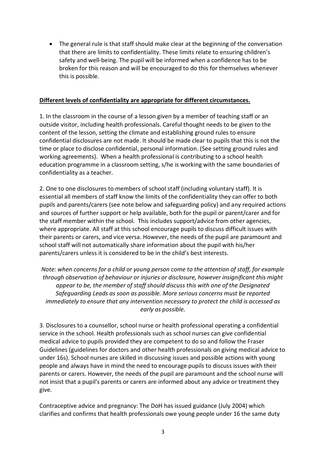The general rule is that staff should make clear at the beginning of the conversation that there are limits to confidentiality. These limits relate to ensuring children's safety and well-being. The pupil will be informed when a confidence has to be broken for this reason and will be encouraged to do this for themselves whenever this is possible.

#### **Different levels of confidentiality are appropriate for different circumstances.**

1. In the classroom in the course of a lesson given by a member of teaching staff or an outside visitor, including health professionals. Careful thought needs to be given to the content of the lesson, setting the climate and establishing ground rules to ensure confidential disclosures are not made. It should be made clear to pupils that this is not the time or place to disclose confidential, personal information. (See setting ground rules and working agreements). When a health professional is contributing to a school health education programme in a classroom setting, s/he is working with the same boundaries of confidentiality as a teacher.

2. One to one disclosures to members of school staff (including voluntary staff). It is essential all members of staff know the limits of the confidentiality they can offer to both pupils and parents/carers (see note below and safeguarding policy) and any required actions and sources of further support or help available, both for the pupil or parent/carer and for the staff member within the school. This includes support/advice from other agencies, where appropriate. All staff at this school encourage pupils to discuss difficult issues with their parents or carers, and vice versa. However, the needs of the pupil are paramount and school staff will not automatically share information about the pupil with his/her parents/carers unless it is considered to be in the child's best interests.

*Note: when concerns for a child or young person come to the attention of staff, for example through observation of behaviour or injuries or disclosure, however insignificant this might appear to be, the member of staff should discuss this with one of the Designated Safeguarding Leads as soon as possible. More serious concerns must be reported immediately to ensure that any intervention necessary to protect the child is accessed as early as possible.* 

3. Disclosures to a counsellor, school nurse or health professional operating a confidential service in the school. Health professionals such as school nurses can give confidential medical advice to pupils provided they are competent to do so and follow the Fraser Guidelines (guidelines for doctors and other health professionals on giving medical advice to under 16s). School nurses are skilled in discussing issues and possible actions with young people and always have in mind the need to encourage pupils to discuss issues with their parents or carers. However, the needs of the pupil are paramount and the school nurse will not insist that a pupil's parents or carers are informed about any advice or treatment they give.

Contraceptive advice and pregnancy: The DoH has issued guidance (July 2004) which clarifies and confirms that health professionals owe young people under 16 the same duty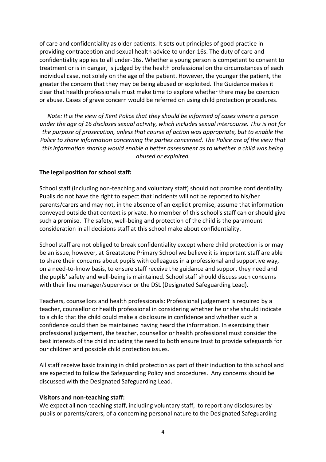of care and confidentiality as older patients. It sets out principles of good practice in providing contraception and sexual health advice to under-16s. The duty of care and confidentiality applies to all under-16s. Whether a young person is competent to consent to treatment or is in danger, is judged by the health professional on the circumstances of each individual case, not solely on the age of the patient. However, the younger the patient, the greater the concern that they may be being abused or exploited. The Guidance makes it clear that health professionals must make time to explore whether there may be coercion or abuse. Cases of grave concern would be referred on using child protection procedures.

*Note: It is the view of Kent Police that they should be informed of cases where a person under the age of 16 discloses sexual activity, which includes sexual intercourse. This is not for the purpose of prosecution, unless that course of action was appropriate, but to enable the Police to share information concerning the parties concerned. The Police are of the view that this information sharing would enable a better assessment as to whether a child was being abused or exploited.*

### **The legal position for school staff:**

School staff (including non-teaching and voluntary staff) should not promise confidentiality. Pupils do not have the right to expect that incidents will not be reported to his/her parents/carers and may not, in the absence of an explicit promise, assume that information conveyed outside that context is private. No member of this school's staff can or should give such a promise. The safety, well-being and protection of the child is the paramount consideration in all decisions staff at this school make about confidentiality.

School staff are not obliged to break confidentiality except where child protection is or may be an issue, however, at Greatstone Primary School we believe it is important staff are able to share their concerns about pupils with colleagues in a professional and supportive way, on a need-to-know basis, to ensure staff receive the guidance and support they need and the pupils' safety and well-being is maintained. School staff should discuss such concerns with their line manager/supervisor or the DSL (Designated Safeguarding Lead).

Teachers, counsellors and health professionals: Professional judgement is required by a teacher, counsellor or health professional in considering whether he or she should indicate to a child that the child could make a disclosure in confidence and whether such a confidence could then be maintained having heard the information. In exercising their professional judgement, the teacher, counsellor or health professional must consider the best interests of the child including the need to both ensure trust to provide safeguards for our children and possible child protection issues.

All staff receive basic training in child protection as part of their induction to this school and are expected to follow the Safeguarding Policy and procedures. Any concerns should be discussed with the Designated Safeguarding Lead.

#### **Visitors and non-teaching staff:**

We expect all non-teaching staff, including voluntary staff, to report any disclosures by pupils or parents/carers, of a concerning personal nature to the Designated Safeguarding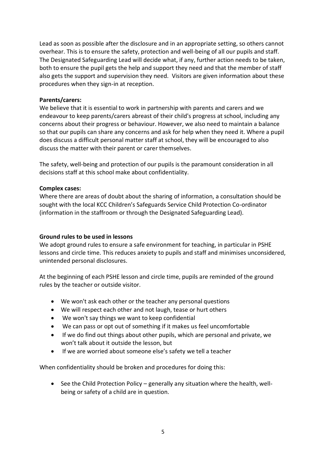Lead as soon as possible after the disclosure and in an appropriate setting, so others cannot overhear. This is to ensure the safety, protection and well-being of all our pupils and staff. The Designated Safeguarding Lead will decide what, if any, further action needs to be taken, both to ensure the pupil gets the help and support they need and that the member of staff also gets the support and supervision they need. Visitors are given information about these procedures when they sign-in at reception.

#### **Parents/carers:**

We believe that it is essential to work in partnership with parents and carers and we endeavour to keep parents/carers abreast of their child's progress at school, including any concerns about their progress or behaviour. However, we also need to maintain a balance so that our pupils can share any concerns and ask for help when they need it. Where a pupil does discuss a difficult personal matter staff at school, they will be encouraged to also discuss the matter with their parent or carer themselves.

The safety, well-being and protection of our pupils is the paramount consideration in all decisions staff at this school make about confidentiality.

### **Complex cases:**

Where there are areas of doubt about the sharing of information, a consultation should be sought with the local KCC Children's Safeguards Service Child Protection Co-ordinator (information in the staffroom or through the Designated Safeguarding Lead).

#### **Ground rules to be used in lessons**

We adopt ground rules to ensure a safe environment for teaching, in particular in PSHE lessons and circle time. This reduces anxiety to pupils and staff and minimises unconsidered, unintended personal disclosures.

At the beginning of each PSHE lesson and circle time, pupils are reminded of the ground rules by the teacher or outside visitor.

- We won't ask each other or the teacher any personal questions
- We will respect each other and not laugh, tease or hurt others
- We won't say things we want to keep confidential
- We can pass or opt out of something if it makes us feel uncomfortable
- If we do find out things about other pupils, which are personal and private, we won't talk about it outside the lesson, but
- If we are worried about someone else's safety we tell a teacher

When confidentiality should be broken and procedures for doing this:

 $\bullet$  See the Child Protection Policy – generally any situation where the health, wellbeing or safety of a child are in question.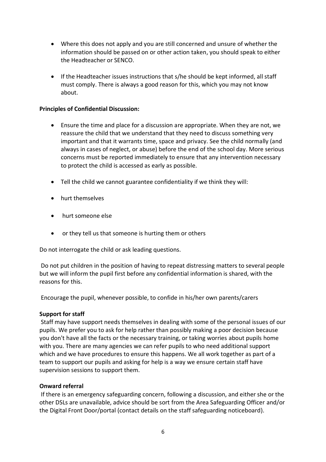- Where this does not apply and you are still concerned and unsure of whether the information should be passed on or other action taken, you should speak to either the Headteacher or SENCO.
- If the Headteacher issues instructions that s/he should be kept informed, all staff must comply. There is always a good reason for this, which you may not know about.

## **Principles of Confidential Discussion:**

- Ensure the time and place for a discussion are appropriate. When they are not, we reassure the child that we understand that they need to discuss something very important and that it warrants time, space and privacy. See the child normally (and always in cases of neglect, or abuse) before the end of the school day. More serious concerns must be reported immediately to ensure that any intervention necessary to protect the child is accessed as early as possible.
- Tell the child we cannot guarantee confidentiality if we think they will:
- hurt themselves
- hurt someone else
- or they tell us that someone is hurting them or others

Do not interrogate the child or ask leading questions.

Do not put children in the position of having to repeat distressing matters to several people but we will inform the pupil first before any confidential information is shared, with the reasons for this.

Encourage the pupil, whenever possible, to confide in his/her own parents/carers

#### **Support for staff**

Staff may have support needs themselves in dealing with some of the personal issues of our pupils. We prefer you to ask for help rather than possibly making a poor decision because you don't have all the facts or the necessary training, or taking worries about pupils home with you. There are many agencies we can refer pupils to who need additional support which and we have procedures to ensure this happens. We all work together as part of a team to support our pupils and asking for help is a way we ensure certain staff have supervision sessions to support them.

#### **Onward referral**

If there is an emergency safeguarding concern, following a discussion, and either she or the other DSLs are unavailable, advice should be sort from the Area Safeguarding Officer and/or the Digital Front Door/portal (contact details on the staff safeguarding noticeboard).